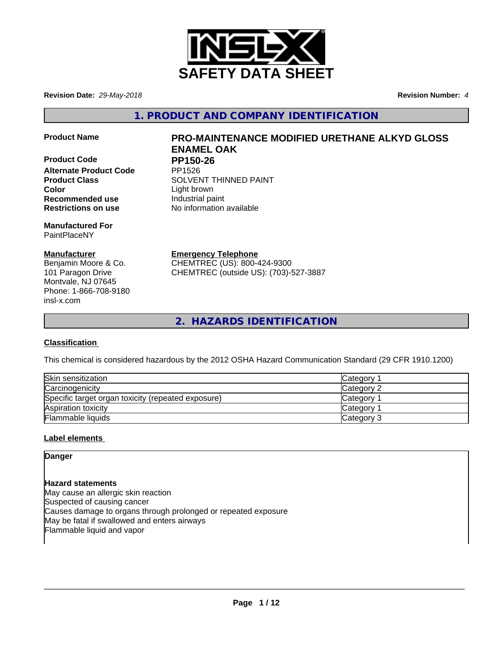

**Revision Date:** *29-May-2018* **Revision Number:** *4*

**1. PRODUCT AND COMPANY IDENTIFICATION**

**Product Code PP150-26 Alternate Product Code Color**<br> **Recommended use Color Recommended use Color Color Color Color Color Color Color Color Color Color Color Color Color Color Color Color Color Color Col Recommended use Restrictions on use** No information available

**Manufactured For** PaintPlaceNY

## **Manufacturer**

Benjamin Moore & Co. 101 Paragon Drive Montvale, NJ 07645 Phone: 1-866-708-9180 insl-x.com

# **Product Name PRO-MAINTENANCE MODIFIED URETHANE ALKYD GLOSS ENAMEL OAK**

**Product Class SOLVENT THINNED PAINT** 

**Emergency Telephone**

CHEMTREC (US): 800-424-9300 CHEMTREC (outside US): (703)-527-3887

**2. HAZARDS IDENTIFICATION**

# **Classification**

This chemical is considered hazardous by the 2012 OSHA Hazard Communication Standard (29 CFR 1910.1200)

| Skin sensitization                                 | Category        |
|----------------------------------------------------|-----------------|
| Carcinogenicity                                    | Category 2      |
| Specific target organ toxicity (repeated exposure) | <b>Category</b> |
| Aspiration toxicity                                | <b>Category</b> |
| Flammable liquids                                  | Category 3      |

# **Label elements**

**Danger**

**Hazard statements** May cause an allergic skin reaction Suspected of causing cancer Causes damage to organs through prolonged or repeated exposure May be fatal if swallowed and enters airways Flammable liquid and vapor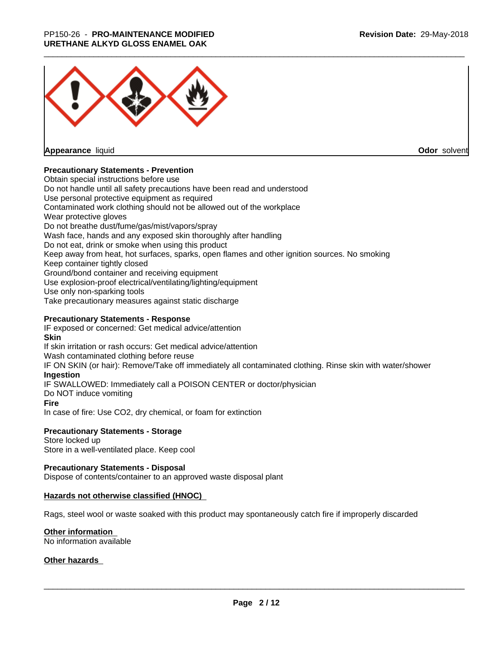# \_\_\_\_\_\_\_\_\_\_\_\_\_\_\_\_\_\_\_\_\_\_\_\_\_\_\_\_\_\_\_\_\_\_\_\_\_\_\_\_\_\_\_\_\_\_\_\_\_\_\_\_\_\_\_\_\_\_\_\_\_\_\_\_\_\_\_\_\_\_\_\_\_\_\_\_\_\_\_\_\_\_\_\_\_\_\_\_\_\_\_\_\_ PP150-26 - **PRO-MAINTENANCE MODIFIED URETHANE ALKYD GLOSS ENAMEL OAK**



**Appearance** liquid

**Odor** solvent

#### **Precautionary Statements - Prevention**

Obtain special instructions before use Do not handle until all safety precautions have been read and understood Use personal protective equipment as required Contaminated work clothing should not be allowed out of the workplace Wear protective gloves Do not breathe dust/fume/gas/mist/vapors/spray Wash face, hands and any exposed skin thoroughly after handling Do not eat, drink or smoke when using this product Keep away from heat, hot surfaces, sparks, open flames and other ignition sources. No smoking Keep container tightly closed Ground/bond container and receiving equipment Use explosion-proof electrical/ventilating/lighting/equipment Use only non-sparking tools Take precautionary measures against static discharge

#### **Precautionary Statements - Response**

IF exposed or concerned: Get medical advice/attention **Skin** If skin irritation or rash occurs: Get medical advice/attention Wash contaminated clothing before reuse IF ON SKIN (or hair): Remove/Take off immediately all contaminated clothing. Rinse skin with water/shower **Ingestion** IF SWALLOWED: Immediately call a POISON CENTER or doctor/physician Do NOT induce vomiting **Fire** In case of fire: Use CO2, dry chemical, or foam for extinction

#### **Precautionary Statements - Storage**

Store locked up Store in a well-ventilated place. Keep cool

#### **Precautionary Statements - Disposal**

Dispose of contents/container to an approved waste disposal plant

#### **Hazards not otherwise classified (HNOC)**

Rags, steel wool or waste soaked with this product may spontaneously catch fire if improperly discarded

#### **Other information**

No information available

#### **Other hazards**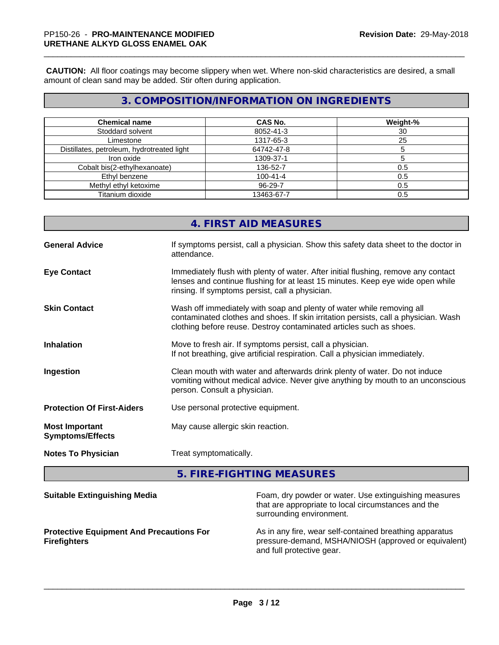**CAUTION:** All floor coatings may become slippery when wet. Where non-skid characteristics are desired, a small amount of clean sand may be added. Stir often during application.

# **3. COMPOSITION/INFORMATION ON INGREDIENTS**

| <b>Chemical name</b>                       | <b>CAS No.</b> | Weight-% |
|--------------------------------------------|----------------|----------|
| Stoddard solvent                           | 8052-41-3      | 30       |
| Limestone                                  | 1317-65-3      | 25       |
| Distillates, petroleum, hydrotreated light | 64742-47-8     |          |
| Iron oxide                                 | 1309-37-1      |          |
| Cobalt bis(2-ethylhexanoate)               | 136-52-7       | 0.5      |
| Ethyl benzene                              | $100 - 41 - 4$ | 0.5      |
| Methyl ethyl ketoxime                      | 96-29-7        | 0.5      |
| Titanium dioxide                           | 13463-67-7     | 0.5      |

# **4. FIRST AID MEASURES**

| <b>General Advice</b>                            | If symptoms persist, call a physician. Show this safety data sheet to the doctor in<br>attendance.                                                                                                                                  |
|--------------------------------------------------|-------------------------------------------------------------------------------------------------------------------------------------------------------------------------------------------------------------------------------------|
| <b>Eye Contact</b>                               | Immediately flush with plenty of water. After initial flushing, remove any contact<br>lenses and continue flushing for at least 15 minutes. Keep eye wide open while<br>rinsing. If symptoms persist, call a physician.             |
| <b>Skin Contact</b>                              | Wash off immediately with soap and plenty of water while removing all<br>contaminated clothes and shoes. If skin irritation persists, call a physician. Wash<br>clothing before reuse. Destroy contaminated articles such as shoes. |
| <b>Inhalation</b>                                | Move to fresh air. If symptoms persist, call a physician.<br>If not breathing, give artificial respiration. Call a physician immediately.                                                                                           |
| Ingestion                                        | Clean mouth with water and afterwards drink plenty of water. Do not induce<br>vomiting without medical advice. Never give anything by mouth to an unconscious<br>person. Consult a physician.                                       |
| <b>Protection Of First-Aiders</b>                | Use personal protective equipment.                                                                                                                                                                                                  |
| <b>Most Important</b><br><b>Symptoms/Effects</b> | May cause allergic skin reaction.                                                                                                                                                                                                   |
| <b>Notes To Physician</b>                        | Treat symptomatically.                                                                                                                                                                                                              |

**5. FIRE-FIGHTING MEASURES**

| <b>Suitable Extinguishing Media</b>                                    | Foam, dry powder or water. Use extinguishing measures<br>that are appropriate to local circumstances and the<br>surrounding environment.     |
|------------------------------------------------------------------------|----------------------------------------------------------------------------------------------------------------------------------------------|
| <b>Protective Equipment And Precautions For</b><br><b>Firefighters</b> | As in any fire, wear self-contained breathing apparatus<br>pressure-demand, MSHA/NIOSH (approved or equivalent)<br>and full protective gear. |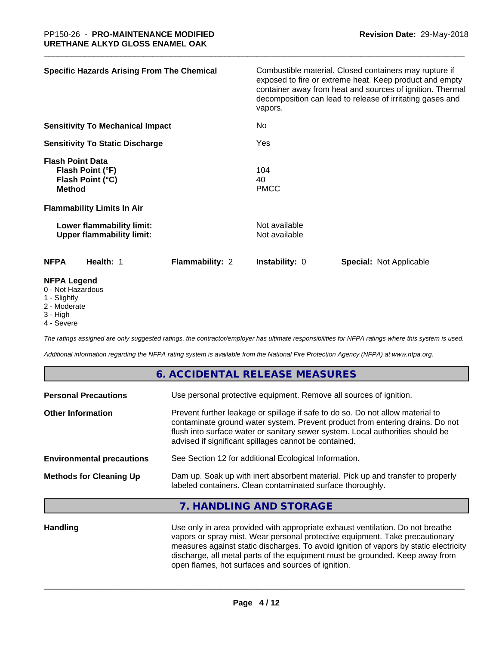| <b>Specific Hazards Arising From The Chemical</b>                                                                     | Combustible material. Closed containers may rupture if<br>exposed to fire or extreme heat. Keep product and empty<br>container away from heat and sources of ignition. Thermal<br>decomposition can lead to release of irritating gases and<br>vapors. |
|-----------------------------------------------------------------------------------------------------------------------|--------------------------------------------------------------------------------------------------------------------------------------------------------------------------------------------------------------------------------------------------------|
| <b>Sensitivity To Mechanical Impact</b>                                                                               | No                                                                                                                                                                                                                                                     |
| <b>Sensitivity To Static Discharge</b>                                                                                | Yes                                                                                                                                                                                                                                                    |
| <b>Flash Point Data</b><br>Flash Point (°F)<br>Flash Point (°C)<br><b>Method</b><br><b>Flammability Limits In Air</b> | 104<br>40<br><b>PMCC</b>                                                                                                                                                                                                                               |
| Lower flammability limit:<br><b>Upper flammability limit:</b>                                                         | Not available<br>Not available                                                                                                                                                                                                                         |
| <b>NFPA</b><br>Health: 1<br><b>Flammability: 2</b>                                                                    | <b>Instability: 0</b><br><b>Special: Not Applicable</b>                                                                                                                                                                                                |
| <b>NFPA Legend</b><br>0 - Not Hazardous<br>1 - Slightly                                                               |                                                                                                                                                                                                                                                        |

- 2 Moderate
- 3 High
- 4 Severe

*The ratings assigned are only suggested ratings, the contractor/employer has ultimate responsibilities for NFPA ratings where this system is used.*

*Additional information regarding the NFPA rating system is available from the National Fire Protection Agency (NFPA) at www.nfpa.org.*

|                                  | 6. ACCIDENTAL RELEASE MEASURES                                                                                                                                                                                                                                                                             |
|----------------------------------|------------------------------------------------------------------------------------------------------------------------------------------------------------------------------------------------------------------------------------------------------------------------------------------------------------|
| <b>Personal Precautions</b>      | Use personal protective equipment. Remove all sources of ignition.                                                                                                                                                                                                                                         |
| <b>Other Information</b>         | Prevent further leakage or spillage if safe to do so. Do not allow material to<br>contaminate ground water system. Prevent product from entering drains. Do not<br>flush into surface water or sanitary sewer system. Local authorities should be<br>advised if significant spillages cannot be contained. |
| <b>Environmental precautions</b> | See Section 12 for additional Ecological Information.                                                                                                                                                                                                                                                      |
| <b>Methods for Cleaning Up</b>   | Dam up. Soak up with inert absorbent material. Pick up and transfer to properly<br>labeled containers. Clean contaminated surface thoroughly.                                                                                                                                                              |
|                                  | 7. HANDLING AND STORAGE                                                                                                                                                                                                                                                                                    |
| <b>Handling</b>                  | Use only in area provided with appropriate exhaust ventilation. Do not breathe                                                                                                                                                                                                                             |

vapors or spray mist. Wear personal protective equipment. Take precautionary measures against static discharges. To avoid ignition of vapors by static electricity discharge, all metal parts of the equipment must be grounded. Keep away from open flames, hot surfaces and sources of ignition.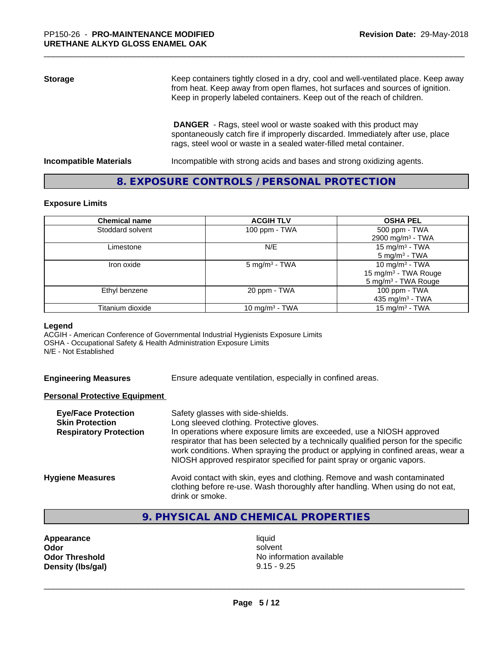# **Storage** Keep containers tightly closed in a dry, cool and well-ventilated place. Keep away from heat. Keep away from open flames, hot surfaces and sources of ignition. Keep in properly labeled containers. Keep out of the reach of children.  **DANGER** - Rags, steel wool or waste soaked with this product may

spontaneously catch fire if improperly discarded. Immediately after use, place rags, steel wool or waste in a sealed water-filled metal container.

**Incompatible Materials Incompatible with strong acids and bases and strong oxidizing agents.** 

# **8. EXPOSURE CONTROLS / PERSONAL PROTECTION**

#### **Exposure Limits**

| <b>Chemical name</b> | <b>ACGIH TLV</b>          | <b>OSHA PEL</b>                  |
|----------------------|---------------------------|----------------------------------|
| Stoddard solvent     | 100 ppm - TWA             | 500 ppm - TWA                    |
|                      |                           | 2900 mg/m <sup>3</sup> - TWA     |
| Limestone            | N/E                       | 15 mg/m $3$ - TWA                |
|                      |                           | $5 \text{ mg/m}^3$ - TWA         |
| Iron oxide           | 5 mg/m <sup>3</sup> - TWA | 10 mg/m <sup>3</sup> - TWA       |
|                      |                           | 15 mg/m <sup>3</sup> - TWA Rouge |
|                      |                           | 5 mg/m <sup>3</sup> - TWA Rouge  |
| Ethyl benzene        | 20 ppm - TWA              | 100 ppm - TWA                    |
|                      |                           | 435 mg/m $3$ - TWA               |
| Titanium dioxide     | 10 mg/m $3$ - TWA         | 15 mg/m <sup>3</sup> - TWA       |

#### **Legend**

ACGIH - American Conference of Governmental Industrial Hygienists Exposure Limits OSHA - Occupational Safety & Health Administration Exposure Limits N/E - Not Established

**Engineering Measures** Ensure adequate ventilation, especially in confined areas.

#### **Personal Protective Equipment**

| <b>Eye/Face Protection</b><br><b>Skin Protection</b><br><b>Respiratory Protection</b> | Safety glasses with side-shields.<br>Long sleeved clothing. Protective gloves.<br>In operations where exposure limits are exceeded, use a NIOSH approved<br>respirator that has been selected by a technically qualified person for the specific<br>work conditions. When spraying the product or applying in confined areas, wear a<br>NIOSH approved respirator specified for paint spray or organic vapors. |
|---------------------------------------------------------------------------------------|----------------------------------------------------------------------------------------------------------------------------------------------------------------------------------------------------------------------------------------------------------------------------------------------------------------------------------------------------------------------------------------------------------------|
| <b>Hygiene Measures</b>                                                               | Avoid contact with skin, eyes and clothing. Remove and wash contaminated<br>clothing before re-use. Wash thoroughly after handling. When using do not eat,<br>drink or smoke.                                                                                                                                                                                                                                  |

# **9. PHYSICAL AND CHEMICAL PROPERTIES**

**Appearance** liquid and **a liquid liquid liquid** by the liquid liquid solvent **Density (lbs/gal)** 9.15 - 9.25

**Odor** solvent **Odor Threshold No information available No information available**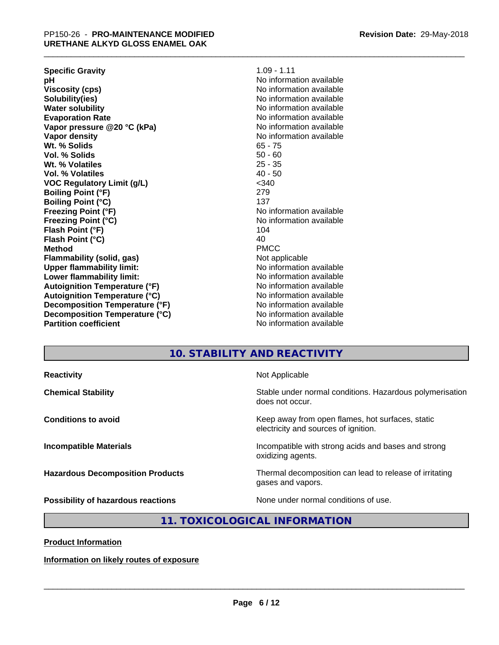| $1.09 - 1.11$            |
|--------------------------|
| No information available |
| No information available |
| No information available |
| No information available |
| No information available |
| No information available |
| No information available |
| $65 - 75$                |
| $50 - 60$                |
| $25 - 35$                |
| $40 - 50$                |
| $<$ 340                  |
| 279                      |
| 137                      |
| No information available |
| No information available |
| 104                      |
| 40                       |
| <b>PMCC</b>              |
| Not applicable           |
| No information available |
| No information available |
| No information available |
| No information available |
| No information available |
| No information available |
| No information available |
|                          |

### **10. STABILITY AND REACTIVITY**

**Reactivity Not Applicable** 

**Chemical Stability Stability** Stable under normal conditions. Hazardous polymerisation does not occur.

**Conditions to avoid Conditions to avoid Keep** away from open flames, hot surfaces, static electricity and sources of ignition.

**Incompatible Materials Incompatible with strong acids and bases and strong** oxidizing agents.

**Hazardous Decomposition Products** Thermal decomposition can lead to release of irritating gases and vapors.

**Possibility of hazardous reactions** None under normal conditions of use.

 $\overline{\phantom{a}}$  ,  $\overline{\phantom{a}}$  ,  $\overline{\phantom{a}}$  ,  $\overline{\phantom{a}}$  ,  $\overline{\phantom{a}}$  ,  $\overline{\phantom{a}}$  ,  $\overline{\phantom{a}}$  ,  $\overline{\phantom{a}}$  ,  $\overline{\phantom{a}}$  ,  $\overline{\phantom{a}}$  ,  $\overline{\phantom{a}}$  ,  $\overline{\phantom{a}}$  ,  $\overline{\phantom{a}}$  ,  $\overline{\phantom{a}}$  ,  $\overline{\phantom{a}}$  ,  $\overline{\phantom{a}}$ 

# **11. TOXICOLOGICAL INFORMATION**

**Product Information**

**Information on likely routes of exposure**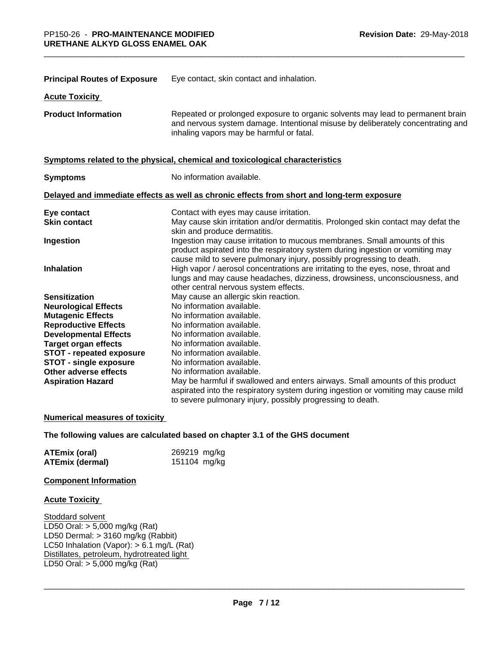| <b>Principal Routes of Exposure</b>                              | Eye contact, skin contact and inhalation.                                                                                                                                                                                            |
|------------------------------------------------------------------|--------------------------------------------------------------------------------------------------------------------------------------------------------------------------------------------------------------------------------------|
| <b>Acute Toxicity</b>                                            |                                                                                                                                                                                                                                      |
| <b>Product Information</b>                                       | Repeated or prolonged exposure to organic solvents may lead to permanent brain<br>and nervous system damage. Intentional misuse by deliberately concentrating and<br>inhaling vapors may be harmful or fatal.                        |
|                                                                  | Symptoms related to the physical, chemical and toxicological characteristics                                                                                                                                                         |
| <b>Symptoms</b>                                                  | No information available.                                                                                                                                                                                                            |
|                                                                  | Delayed and immediate effects as well as chronic effects from short and long-term exposure                                                                                                                                           |
| Eye contact<br><b>Skin contact</b>                               | Contact with eyes may cause irritation.<br>May cause skin irritation and/or dermatitis. Prolonged skin contact may defat the<br>skin and produce dermatitis.                                                                         |
| Ingestion                                                        | Ingestion may cause irritation to mucous membranes. Small amounts of this<br>product aspirated into the respiratory system during ingestion or vomiting may<br>cause mild to severe pulmonary injury, possibly progressing to death. |
| <b>Inhalation</b>                                                | High vapor / aerosol concentrations are irritating to the eyes, nose, throat and<br>lungs and may cause headaches, dizziness, drowsiness, unconsciousness, and<br>other central nervous system effects.                              |
| <b>Sensitization</b>                                             | May cause an allergic skin reaction.                                                                                                                                                                                                 |
| <b>Neurological Effects</b>                                      | No information available.                                                                                                                                                                                                            |
| <b>Mutagenic Effects</b>                                         | No information available.                                                                                                                                                                                                            |
| <b>Reproductive Effects</b>                                      | No information available.                                                                                                                                                                                                            |
| <b>Developmental Effects</b>                                     | No information available.                                                                                                                                                                                                            |
| <b>Target organ effects</b>                                      | No information available.                                                                                                                                                                                                            |
| <b>STOT - repeated exposure</b><br><b>STOT - single exposure</b> | No information available.<br>No information available.                                                                                                                                                                               |
| Other adverse effects                                            | No information available.                                                                                                                                                                                                            |
| <b>Aspiration Hazard</b>                                         | May be harmful if swallowed and enters airways. Small amounts of this product                                                                                                                                                        |
|                                                                  | aspirated into the respiratory system during ingestion or vomiting may cause mild<br>to severe pulmonary injury, possibly progressing to death.                                                                                      |

#### **Numerical measures of toxicity**

**The following values are calculated based on chapter 3.1 of the GHS document**

| <b>ATEmix (oral)</b>   | 269219 mg/kg |
|------------------------|--------------|
| <b>ATEmix (dermal)</b> | 151104 mg/kg |

#### **Component Information**

#### **Acute Toxicity**

Stoddard solvent LD50 Oral:  $> 5,000$  mg/kg (Rat) LD50 Dermal: > 3160 mg/kg (Rabbit) LC50 Inhalation (Vapor): > 6.1 mg/L (Rat) Distillates, petroleum, hydrotreated light LD50 Oral: > 5,000 mg/kg (Rat)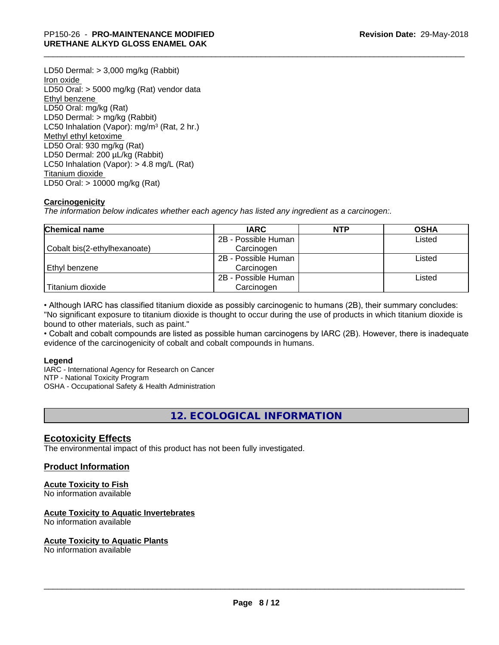LD50 Dermal: > 3,000 mg/kg (Rabbit) Iron oxide LD50 Oral: > 5000 mg/kg (Rat) vendor data Ethyl benzene LD50 Oral: mg/kg (Rat) LD50 Dermal: > mg/kg (Rabbit) LC50 Inhalation (Vapor): mg/m<sup>3</sup> (Rat, 2 hr.) Methyl ethyl ketoxime LD50 Oral: 930 mg/kg (Rat) LD50 Dermal: 200 µL/kg (Rabbit) LC50 Inhalation (Vapor): > 4.8 mg/L (Rat) Titanium dioxide LD50 Oral: > 10000 mg/kg (Rat)

### **Carcinogenicity**

*The information below indicateswhether each agency has listed any ingredient as a carcinogen:.*

| <b>Chemical name</b>         | <b>IARC</b>         | <b>NTP</b> | <b>OSHA</b> |
|------------------------------|---------------------|------------|-------------|
|                              | 2B - Possible Human |            | Listed      |
| Cobalt bis(2-ethylhexanoate) | Carcinogen          |            |             |
|                              | 2B - Possible Human |            | Listed      |
| Ethyl benzene                | Carcinogen          |            |             |
|                              | 2B - Possible Human |            | Listed      |
| Titanium dioxide             | Carcinogen          |            |             |

• Although IARC has classified titanium dioxide as possibly carcinogenic to humans (2B), their summary concludes: "No significant exposure to titanium dioxide is thought to occur during the use of products in which titanium dioxide is bound to other materials, such as paint."

• Cobalt and cobalt compounds are listed as possible human carcinogens by IARC (2B). However, there is inadequate evidence of the carcinogenicity of cobalt and cobalt compounds in humans.

#### **Legend**

IARC - International Agency for Research on Cancer NTP - National Toxicity Program OSHA - Occupational Safety & Health Administration

**12. ECOLOGICAL INFORMATION**

### **Ecotoxicity Effects**

The environmental impact of this product has not been fully investigated.

#### **Product Information**

#### **Acute Toxicity to Fish**

No information available

#### **Acute Toxicity to Aquatic Invertebrates**

No information available

#### **Acute Toxicity to Aquatic Plants**

No information available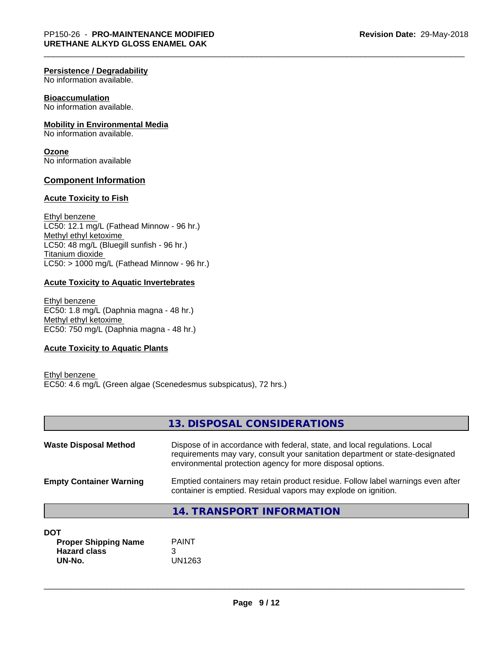#### **Persistence / Degradability**

No information available.

#### **Bioaccumulation**

No information available.

#### **Mobility in Environmental Media**

No information available.

#### **Ozone**

No information available

#### **Component Information**

#### **Acute Toxicity to Fish**

Ethyl benzene LC50: 12.1 mg/L (Fathead Minnow - 96 hr.) Methyl ethyl ketoxime LC50: 48 mg/L (Bluegill sunfish - 96 hr.) Titanium dioxide  $LCS0:$  > 1000 mg/L (Fathead Minnow - 96 hr.)

#### **Acute Toxicity to Aquatic Invertebrates**

Ethyl benzene EC50: 1.8 mg/L (Daphnia magna - 48 hr.) Methyl ethyl ketoxime EC50: 750 mg/L (Daphnia magna - 48 hr.)

#### **Acute Toxicity to Aquatic Plants**

Ethyl benzene EC50: 4.6 mg/L (Green algae (Scenedesmus subspicatus), 72 hrs.)

|                                | 13. DISPOSAL CONSIDERATIONS                                                                                                                                                                                               |
|--------------------------------|---------------------------------------------------------------------------------------------------------------------------------------------------------------------------------------------------------------------------|
| <b>Waste Disposal Method</b>   | Dispose of in accordance with federal, state, and local regulations. Local<br>requirements may vary, consult your sanitation department or state-designated<br>environmental protection agency for more disposal options. |
| <b>Empty Container Warning</b> | Emptied containers may retain product residue. Follow label warnings even after<br>container is emptied. Residual vapors may explode on ignition.                                                                         |
|                                | <b>14. TRANSPORT INFORMATION</b>                                                                                                                                                                                          |
| <b>DOT</b>                     |                                                                                                                                                                                                                           |
| <b>Proper Shipping Name</b>    | <b>PAINT</b>                                                                                                                                                                                                              |
| <b>Hazard class</b>            | 3                                                                                                                                                                                                                         |
| UN-No.                         | UN1263                                                                                                                                                                                                                    |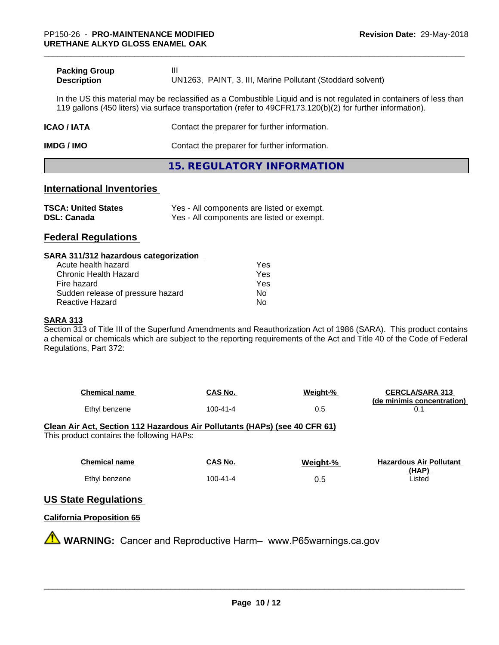| <b>Packing Group</b> |                                                            |
|----------------------|------------------------------------------------------------|
| <b>Description</b>   | UN1263, PAINT, 3, III, Marine Pollutant (Stoddard solvent) |

In the US this material may be reclassified as a Combustible Liquid and is not regulated in containers of less than 119 gallons (450 liters) via surface transportation (refer to 49CFR173.120(b)(2) for further information).

# **ICAO / IATA** Contact the preparer for further information.

**IMDG / IMO** Contact the preparer for further information.

**15. REGULATORY INFORMATION**

### **International Inventories**

| <b>TSCA: United States</b> | Yes - All components are listed or exempt. |
|----------------------------|--------------------------------------------|
| <b>DSL: Canada</b>         | Yes - All components are listed or exempt. |

# **Federal Regulations**

#### **SARA 311/312 hazardous categorization**

| Acute health hazard               | Yes |
|-----------------------------------|-----|
| Chronic Health Hazard             | Yes |
| Fire hazard                       | Yes |
| Sudden release of pressure hazard | Nο  |
| Reactive Hazard                   | N٥  |

#### **SARA 313**

Section 313 of Title III of the Superfund Amendments and Reauthorization Act of 1986 (SARA). This product contains a chemical or chemicals which are subject to the reporting requirements of the Act and Title 40 of the Code of Federal Regulations, Part 372:

| <b>Chemical name</b> | CAS No.  | Weight-% | <b>CERCLA/SARA 313</b>     |
|----------------------|----------|----------|----------------------------|
|                      |          |          | (de minimis concentration) |
| Ethyl benzene        | 100-41-4 | 0.5      |                            |

# **Clean Air Act,Section 112 Hazardous Air Pollutants (HAPs) (see 40 CFR 61)**

This product contains the following HAPs:

| <b>Chemical name</b> | CAS No.        | Weight-% | <b>Hazardous Air Pollutant</b> |
|----------------------|----------------|----------|--------------------------------|
| Ethyl benzene        | $100 - 41 - 4$ | 0.5      | (HAP)<br>∟isted                |

# **US State Regulations**

## **California Proposition 65**

**AVIMARNING:** Cancer and Reproductive Harm– www.P65warnings.ca.gov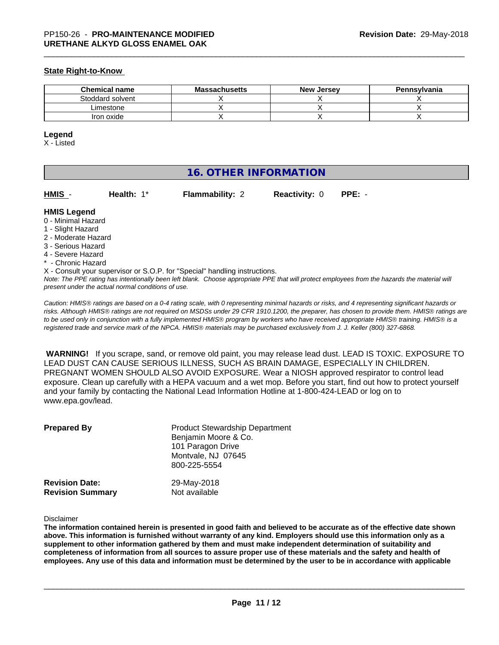#### **State Right-to-Know**

| <b>Chemical name</b> | <b>Massachusetts</b> | <b>New Jersey</b> | Pennsylvania |
|----------------------|----------------------|-------------------|--------------|
| Stoddard solvent     |                      |                   |              |
| ∟imestone            |                      |                   |              |
| Iron oxide           |                      |                   |              |

#### **Legend**

X - Listed

| <b>16. OTHER INFORMATION</b>                                                                                                                          |                                                    |                                                                            |                      |                                                                                                                                                                                                                                                                                                                                                                                                                                                                                                        |
|-------------------------------------------------------------------------------------------------------------------------------------------------------|----------------------------------------------------|----------------------------------------------------------------------------|----------------------|--------------------------------------------------------------------------------------------------------------------------------------------------------------------------------------------------------------------------------------------------------------------------------------------------------------------------------------------------------------------------------------------------------------------------------------------------------------------------------------------------------|
| HMIS -                                                                                                                                                | Health: $1*$                                       | <b>Flammability: 2</b>                                                     | <b>Reactivity: 0</b> | $PPE: -$                                                                                                                                                                                                                                                                                                                                                                                                                                                                                               |
| <b>HMIS Legend</b><br>0 - Minimal Hazard<br>1 - Slight Hazard<br>2 - Moderate Hazard<br>3 - Serious Hazard<br>4 - Severe Hazard<br>* - Chronic Hazard | present under the actual normal conditions of use. | X - Consult your supervisor or S.O.P. for "Special" handling instructions. |                      | Note: The PPE rating has intentionally been left blank. Choose appropriate PPE that will protect employees from the hazards the material will                                                                                                                                                                                                                                                                                                                                                          |
|                                                                                                                                                       |                                                    |                                                                            |                      | Caution: HMIS® ratings are based on a 0-4 rating scale, with 0 representing minimal hazards or risks, and 4 representing significant hazards or<br>$\overline{M}$ , $\overline{M}$ , $\overline{M}$ , $\overline{M}$ , $\overline{M}$ , $\overline{M}$ , $\overline{M}$ , $\overline{M}$ , $\overline{M}$ , $\overline{M}$ , $\overline{M}$ , $\overline{M}$ , $\overline{M}$ , $\overline{M}$ , $\overline{M}$ , $\overline{M}$ , $\overline{M}$ , $\overline{M}$ , $\overline{M}$ , $\overline{M}$ , |

*risks. Although HMISÒ ratings are not required on MSDSs under 29 CFR 1910.1200, the preparer, has chosen to provide them. HMISÒ ratings are to be used only in conjunction with a fully implemented HMISÒ program by workers who have received appropriate HMISÒ training. HMISÒ is a registered trade and service mark of the NPCA. HMISÒ materials may be purchased exclusively from J. J. Keller (800) 327-6868.*

 **WARNING!** If you scrape, sand, or remove old paint, you may release lead dust. LEAD IS TOXIC. EXPOSURE TO LEAD DUST CAN CAUSE SERIOUS ILLNESS, SUCH AS BRAIN DAMAGE, ESPECIALLY IN CHILDREN. PREGNANT WOMEN SHOULD ALSO AVOID EXPOSURE.Wear a NIOSH approved respirator to control lead exposure. Clean up carefully with a HEPA vacuum and a wet mop. Before you start, find out how to protect yourself and your family by contacting the National Lead Information Hotline at 1-800-424-LEAD or log on to www.epa.gov/lead.

| <b>Prepared By</b>      | <b>Product Stewardship Department</b><br>Benjamin Moore & Co.<br>101 Paragon Drive<br>Montvale, NJ 07645<br>800-225-5554 |
|-------------------------|--------------------------------------------------------------------------------------------------------------------------|
| <b>Revision Date:</b>   | 29-May-2018                                                                                                              |
| <b>Revision Summary</b> | Not available                                                                                                            |

#### Disclaimer

The information contained herein is presented in good faith and believed to be accurate as of the effective date shown above. This information is furnished without warranty of any kind. Employers should use this information only as a **supplement to other information gathered by them and must make independent determination of suitability and** completeness of information from all sources to assure proper use of these materials and the safety and health of employees. Any use of this data and information must be determined by the user to be in accordance with applicable